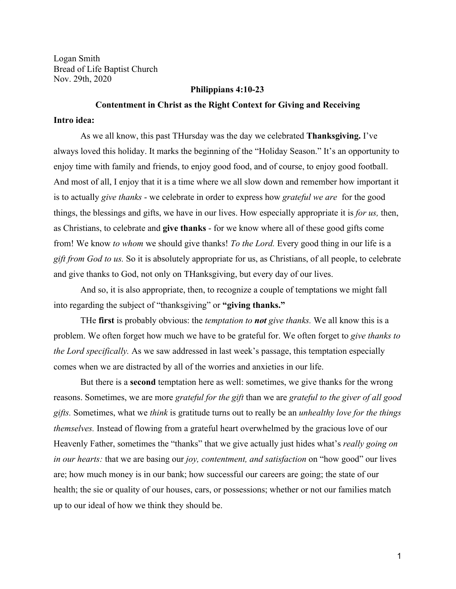Logan Smith Bread of Life Baptist Church Nov. 29th, 2020

## **Philippians 4:10-23**

## **Contentment in Christ as the Right Context for Giving and Receiving**

# **Intro idea:**

As we all know, this past THursday was the day we celebrated **Thanksgiving.** I've always loved this holiday. It marks the beginning of the "Holiday Season." It's an opportunity to enjoy time with family and friends, to enjoy good food, and of course, to enjoy good football. And most of all, I enjoy that it is a time where we all slow down and remember how important it is to actually *give thanks* - we celebrate in order to express how *grateful we are* for the good things, the blessings and gifts, we have in our lives. How especially appropriate it is *for us,* then, as Christians, to celebrate and **give thanks** - for we know where all of these good gifts come from! We know *to whom* we should give thanks! *To the Lord.* Every good thing in our life is a *gift from God to us.* So it is absolutely appropriate for us, as Christians, of all people, to celebrate and give thanks to God, not only on THanksgiving, but every day of our lives.

And so, it is also appropriate, then, to recognize a couple of temptations we might fall into regarding the subject of "thanksgiving" or **"giving thanks."**

THe **first** is probably obvious: the *temptation to not give thanks.* We all know this is a problem. We often forget how much we have to be grateful for. We often forget to *give thanks to the Lord specifically.* As we saw addressed in last week's passage, this temptation especially comes when we are distracted by all of the worries and anxieties in our life.

But there is a **second** temptation here as well: sometimes, we give thanks for the wrong reasons. Sometimes, we are more *grateful for the gift* than we are *grateful to the giver of all good gifts.* Sometimes, what we *think* is gratitude turns out to really be an *unhealthy love for the things themselves.* Instead of flowing from a grateful heart overwhelmed by the gracious love of our Heavenly Father, sometimes the "thanks" that we give actually just hides what's *really going on in our hearts:* that we are basing our *joy, contentment, and satisfaction* on "how good" our lives are; how much money is in our bank; how successful our careers are going; the state of our health; the sie or quality of our houses, cars, or possessions; whether or not our families match up to our ideal of how we think they should be.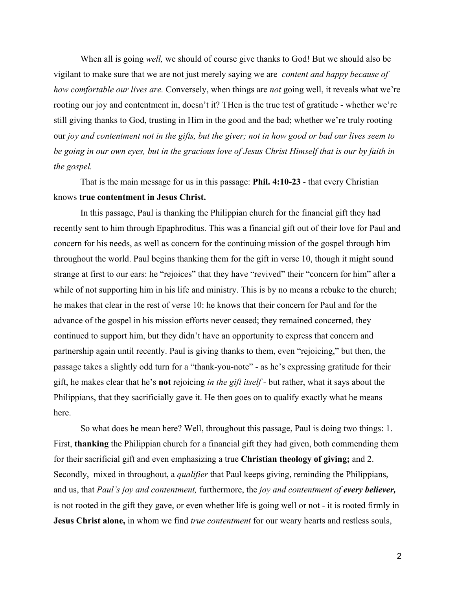When all is going *well,* we should of course give thanks to God! But we should also be vigilant to make sure that we are not just merely saying we are *content and happy because of how comfortable our lives are.* Conversely, when things are *not* going well, it reveals what we're rooting our joy and contentment in, doesn't it? THen is the true test of gratitude - whether we're still giving thanks to God, trusting in Him in the good and the bad; whether we're truly rooting our *joy and contentment not in the gifts, but the giver; not in how good or bad our lives seem to be going in our own eyes, but in the gracious love of Jesus Christ Himself that is our by faith in the gospel.*

That is the main message for us in this passage: **Phil. 4:10-23** - that every Christian knows **true contentment in Jesus Christ.**

In this passage, Paul is thanking the Philippian church for the financial gift they had recently sent to him through Epaphroditus. This was a financial gift out of their love for Paul and concern for his needs, as well as concern for the continuing mission of the gospel through him throughout the world. Paul begins thanking them for the gift in verse 10, though it might sound strange at first to our ears: he "rejoices" that they have "revived" their "concern for him" after a while of not supporting him in his life and ministry. This is by no means a rebuke to the church; he makes that clear in the rest of verse 10: he knows that their concern for Paul and for the advance of the gospel in his mission efforts never ceased; they remained concerned, they continued to support him, but they didn't have an opportunity to express that concern and partnership again until recently. Paul is giving thanks to them, even "rejoicing," but then, the passage takes a slightly odd turn for a "thank-you-note" - as he's expressing gratitude for their gift, he makes clear that he's **not** rejoicing *in the gift itself -* but rather, what it says about the Philippians, that they sacrificially gave it. He then goes on to qualify exactly what he means here.

So what does he mean here? Well, throughout this passage, Paul is doing two things: 1. First, **thanking** the Philippian church for a financial gift they had given, both commending them for their sacrificial gift and even emphasizing a true **Christian theology of giving;** and 2. Secondly, mixed in throughout, a *qualifier* that Paul keeps giving, reminding the Philippians, and us, that *Paul's joy and contentment,* furthermore, the *joy and contentment of every believer,* is not rooted in the gift they gave, or even whether life is going well or not - it is rooted firmly in **Jesus Christ alone,** in whom we find *true contentment* for our weary hearts and restless souls,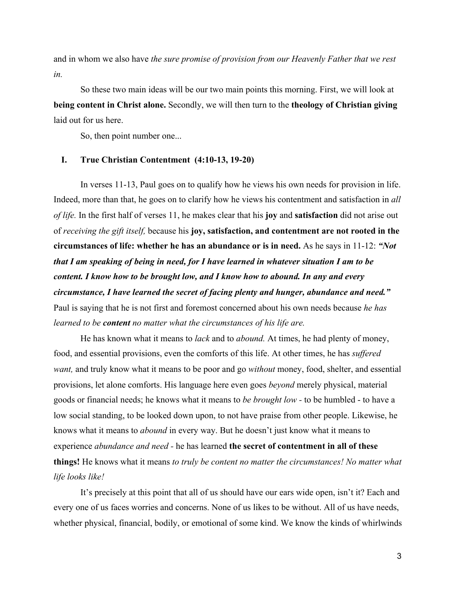and in whom we also have *the sure promise of provision from our Heavenly Father that we rest in.*

So these two main ideas will be our two main points this morning. First, we will look at **being content in Christ alone.** Secondly, we will then turn to the **theology of Christian giving** laid out for us here.

So, then point number one...

# **I. True Christian Contentment (4:10-13, 19-20)**

In verses 11-13, Paul goes on to qualify how he views his own needs for provision in life. Indeed, more than that, he goes on to clarify how he views his contentment and satisfaction in *all of life.* In the first half of verses 11, he makes clear that his **joy** and **satisfaction** did not arise out of *receiving the gift itself,* because his **joy, satisfaction, and contentment are not rooted in the circumstances of life: whether he has an abundance or is in need.** As he says in 11-12: *"Not that I am speaking of being in need, for I have learned in whatever situation I am to be content. I know how to be brought low, and I know how to abound. In any and every circumstance, I have learned the secret of facing plenty and hunger, abundance and need."* Paul is saying that he is not first and foremost concerned about his own needs because *he has learned to be content no matter what the circumstances of his life are.*

He has known what it means to *lack* and to *abound.* At times, he had plenty of money, food, and essential provisions, even the comforts of this life. At other times, he has *suffered want,* and truly know what it means to be poor and go *without* money, food, shelter, and essential provisions, let alone comforts. His language here even goes *beyond* merely physical, material goods or financial needs; he knows what it means to *be brought low -* to be humbled - to have a low social standing, to be looked down upon, to not have praise from other people. Likewise, he knows what it means to *abound* in every way. But he doesn't just know what it means to experience *abundance and need -* he has learned **the secret of contentment in all of these things!** He knows what it means *to truly be content no matter the circumstances! No matter what life looks like!*

It's precisely at this point that all of us should have our ears wide open, isn't it? Each and every one of us faces worries and concerns. None of us likes to be without. All of us have needs, whether physical, financial, bodily, or emotional of some kind. We know the kinds of whirlwinds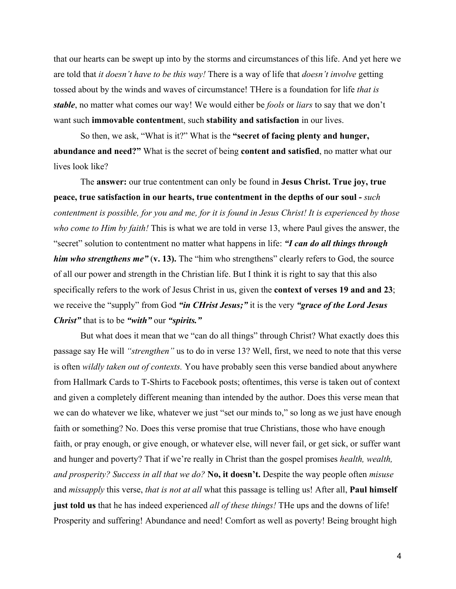that our hearts can be swept up into by the storms and circumstances of this life. And yet here we are told that *it doesn't have to be this way!* There is a way of life that *doesn't involve* getting tossed about by the winds and waves of circumstance! THere is a foundation for life *that is stable*, no matter what comes our way! We would either be *fools* or *liars* to say that we don't want such **immovable contentmen**t, such **stability and satisfaction** in our lives.

So then, we ask, "What is it?" What is the **"secret of facing plenty and hunger, abundance and need?"** What is the secret of being **content and satisfied**, no matter what our lives look like?

The **answer:** our true contentment can only be found in **Jesus Christ. True joy, true peace, true satisfaction in our hearts, true contentment in the depths of our soul -** *such contentment is possible, for you and me, for it is found in Jesus Christ! It is experienced by those who come to Him by faith!* This is what we are told in verse 13, where Paul gives the answer, the "secret" solution to contentment no matter what happens in life: *"I can do all things through him who strengthens me"* (v. 13). The "him who strengthens" clearly refers to God, the source of all our power and strength in the Christian life. But I think it is right to say that this also specifically refers to the work of Jesus Christ in us, given the **context of verses 19 and and 23**; we receive the "supply" from God *"in CHrist Jesus;"* it is the very *"grace of the Lord Jesus Christ"* that is to be *"with"* our *"spirits."*

But what does it mean that we "can do all things" through Christ? What exactly does this passage say He will *"strengthen"* us to do in verse 13? Well, first, we need to note that this verse is often *wildly taken out of contexts.* You have probably seen this verse bandied about anywhere from Hallmark Cards to T-Shirts to Facebook posts; oftentimes, this verse is taken out of context and given a completely different meaning than intended by the author. Does this verse mean that we can do whatever we like, whatever we just "set our minds to," so long as we just have enough faith or something? No. Does this verse promise that true Christians, those who have enough faith, or pray enough, or give enough, or whatever else, will never fail, or get sick, or suffer want and hunger and poverty? That if we're really in Christ than the gospel promises *health, wealth, and prosperity? Success in all that we do?* **No, it doesn't.** Despite the way people often *misuse* and *missapply* this verse, *that is not at all* what this passage is telling us! After all, **Paul himself just told us** that he has indeed experienced *all of these things!* THe ups and the downs of life! Prosperity and suffering! Abundance and need! Comfort as well as poverty! Being brought high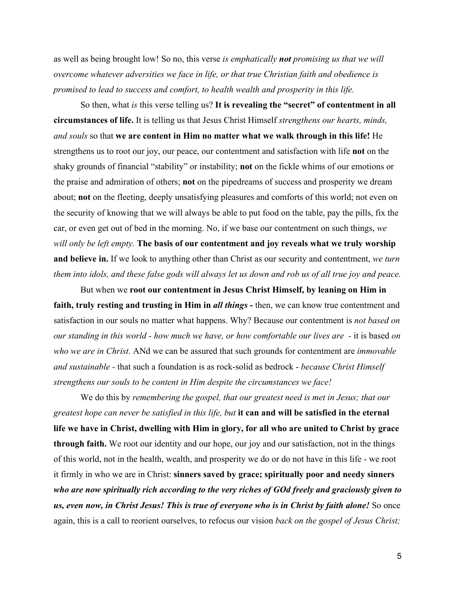as well as being brought low! So no, this verse *is emphatically not promising us that we will overcome whatever adversities we face in life, or that true Christian faith and obedience is promised to lead to success and comfort, to health wealth and prosperity in this life.*

So then, what *is* this verse telling us? **It is revealing the "secret" of contentment in all circumstances of life.** It is telling us that Jesus Christ Himself *strengthens our hearts, minds, and souls* so that **we are content in Him no matter what we walk through in this life!** He strengthens us to root our joy, our peace, our contentment and satisfaction with life **not** on the shaky grounds of financial "stability" or instability; **not** on the fickle whims of our emotions or the praise and admiration of others; **not** on the pipedreams of success and prosperity we dream about; **not** on the fleeting, deeply unsatisfying pleasures and comforts of this world; not even on the security of knowing that we will always be able to put food on the table, pay the pills, fix the car, or even get out of bed in the morning. No, if we base our contentment on such things, *we will only be left empty.* **The basis of our contentment and joy reveals what we truly worship and believe in.** If we look to anything other than Christ as our security and contentment, *we turn them into idols, and these false gods will always let us down and rob us of all true joy and peace.*

But when we **root our contentment in Jesus Christ Himself, by leaning on Him in faith, truly resting and trusting in Him in** *all things* **-** then, we can know true contentment and satisfaction in our souls no matter what happens. Why? Because our contentment is *not based on our standing in this world - how much we have, or how comfortable our lives are -* it is based *on who we are in Christ.* ANd we can be assured that such grounds for contentment are *immovable and sustainable -* that such a foundation is as rock-solid as bedrock - *because Christ Himself strengthens our souls to be content in Him despite the circumstances we face!*

We do this by *remembering the gospel, that our greatest need is met in Jesus; that our greatest hope can never be satisfied in this life, but* **it can and will be satisfied in the eternal life we have in Christ, dwelling with Him in glory, for all who are united to Christ by grace through faith.** We root our identity and our hope, our joy and our satisfaction, not in the things of this world, not in the health, wealth, and prosperity we do or do not have in this life - we root it firmly in who we are in Christ: **sinners saved by grace; spiritually poor and needy sinners** *who are now spiritually rich according to the very riches of GOd freely and graciously given to us, even now, in Christ Jesus! This is true of everyone who is in Christ by faith alone!* So once again, this is a call to reorient ourselves, to refocus our vision *back on the gospel of Jesus Christ;*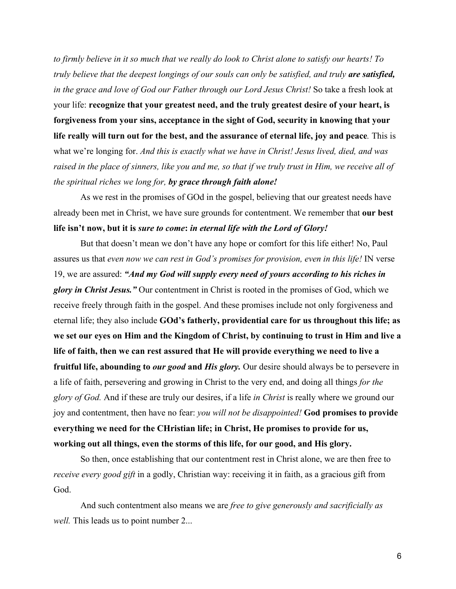*to firmly believe in it so much that we really do look to Christ alone to satisfy our hearts! To truly believe that the deepest longings of our souls can only be satisfied, and truly are satisfied, in the grace and love of God our Father through our Lord Jesus Christ!* So take a fresh look at your life: **recognize that your greatest need, and the truly greatest desire of your heart, is forgiveness from your sins, acceptance in the sight of God, security in knowing that your life really will turn out for the best, and the assurance of eternal life, joy and peace***.* This is what we're longing for. *And this is exactly what we have in Christ! Jesus lived, died, and was raised in the place of sinners, like you and me, so that if we truly trust in Him, we receive all of the spiritual riches we long for, by grace through faith alone!*

As we rest in the promises of GOd in the gospel, believing that our greatest needs have already been met in Christ, we have sure grounds for contentment. We remember that **our best life isn't now, but it is** *sure to come***:** *in eternal life with the Lord of Glory!*

But that doesn't mean we don't have any hope or comfort for this life either! No, Paul assures us that *even now we can rest in God's promises for provision, even in this life!* IN verse 19, we are assured: *"And my God will supply every need of yours according to his riches in glory in Christ Jesus."* Our contentment in Christ is rooted in the promises of God, which we receive freely through faith in the gospel. And these promises include not only forgiveness and eternal life; they also include **GOd's fatherly, providential care for us throughout this life; as we set our eyes on Him and the Kingdom of Christ, by continuing to trust in Him and live a life of faith, then we can rest assured that He will provide everything we need to live a fruitful life, abounding to** *our good* **and** *His glory.* Our desire should always be to persevere in a life of faith, persevering and growing in Christ to the very end, and doing all things *for the glory of God.* And if these are truly our desires, if a life *in Christ* is really where we ground our joy and contentment, then have no fear: *you will not be disappointed!* **God promises to provide everything we need for the CHristian life; in Christ, He promises to provide for us, working out all things, even the storms of this life, for our good, and His glory.**

So then, once establishing that our contentment rest in Christ alone, we are then free to *receive every good gift* in a godly, Christian way: receiving it in faith, as a gracious gift from God.

And such contentment also means we are *free to give generously and sacrificially as well.* This leads us to point number 2...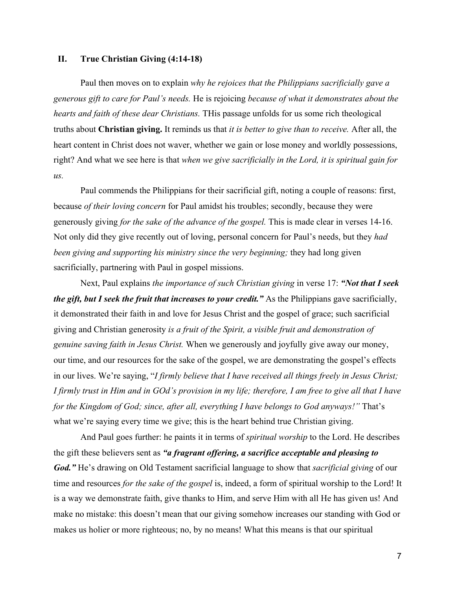#### **II. True Christian Giving (4:14-18)**

Paul then moves on to explain *why he rejoices that the Philippians sacrificially gave a generous gift to care for Paul's needs.* He is rejoicing *because of what it demonstrates about the hearts and faith of these dear Christians.* THis passage unfolds for us some rich theological truths about **Christian giving.** It reminds us that *it is better to give than to receive.* After all, the heart content in Christ does not waver, whether we gain or lose money and worldly possessions, right? And what we see here is that *when we give sacrificially in the Lord, it is spiritual gain for us.*

Paul commends the Philippians for their sacrificial gift, noting a couple of reasons: first, because *of their loving concern* for Paul amidst his troubles; secondly, because they were generously giving *for the sake of the advance of the gospel.* This is made clear in verses 14-16. Not only did they give recently out of loving, personal concern for Paul's needs, but they *had been giving and supporting his ministry since the very beginning;* they had long given sacrificially, partnering with Paul in gospel missions.

Next, Paul explains *the importance of such Christian giving* in verse 17: *"Not that I seek the gift, but I seek the fruit that increases to your credit.*" As the Philippians gave sacrificially, it demonstrated their faith in and love for Jesus Christ and the gospel of grace; such sacrificial giving and Christian generosity *is a fruit of the Spirit, a visible fruit and demonstration of genuine saving faith in Jesus Christ.* When we generously and joyfully give away our money, our time, and our resources for the sake of the gospel, we are demonstrating the gospel's effects in our lives. We're saying, "*I firmly believe that I have received all things freely in Jesus Christ; I firmly trust in Him and in GOd's provision in my life; therefore, I am free to give all that I have for the Kingdom of God; since, after all, everything I have belongs to God anyways!"* That's what we're saying every time we give; this is the heart behind true Christian giving.

And Paul goes further: he paints it in terms of *spiritual worship* to the Lord. He describes the gift these believers sent as *"a fragrant offering, a sacrifice acceptable and pleasing to God."* He's drawing on Old Testament sacrificial language to show that *sacrificial giving* of our time and resources *for the sake of the gospel* is, indeed, a form of spiritual worship to the Lord! It is a way we demonstrate faith, give thanks to Him, and serve Him with all He has given us! And make no mistake: this doesn't mean that our giving somehow increases our standing with God or makes us holier or more righteous; no, by no means! What this means is that our spiritual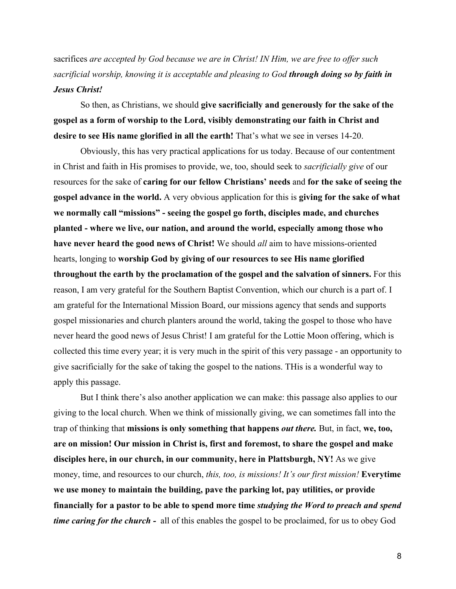sacrifices *are accepted by God because we are in Christ! IN Him, we are free to offer such sacrificial worship, knowing it is acceptable and pleasing to God through doing so by faith in Jesus Christ!*

So then, as Christians, we should **give sacrificially and generously for the sake of the gospel as a form of worship to the Lord, visibly demonstrating our faith in Christ and desire to see His name glorified in all the earth!** That's what we see in verses 14-20.

Obviously, this has very practical applications for us today. Because of our contentment in Christ and faith in His promises to provide, we, too, should seek to *sacrificially give* of our resources for the sake of **caring for our fellow Christians' needs** and **for the sake of seeing the gospel advance in the world.** A very obvious application for this is **giving for the sake of what we normally call "missions" - seeing the gospel go forth, disciples made, and churches planted - where we live, our nation, and around the world, especially among those who have never heard the good news of Christ!** We should *all* aim to have missions-oriented hearts, longing to **worship God by giving of our resources to see His name glorified throughout the earth by the proclamation of the gospel and the salvation of sinners.** For this reason, I am very grateful for the Southern Baptist Convention, which our church is a part of. I am grateful for the International Mission Board, our missions agency that sends and supports gospel missionaries and church planters around the world, taking the gospel to those who have never heard the good news of Jesus Christ! I am grateful for the Lottie Moon offering, which is collected this time every year; it is very much in the spirit of this very passage - an opportunity to give sacrificially for the sake of taking the gospel to the nations. THis is a wonderful way to apply this passage.

But I think there's also another application we can make: this passage also applies to our giving to the local church. When we think of missionally giving, we can sometimes fall into the trap of thinking that **missions is only something that happens** *out there.* But, in fact, **we, too, are on mission! Our mission in Christ is, first and foremost, to share the gospel and make disciples here, in our church, in our community, here in Plattsburgh, NY!** As we give money, time, and resources to our church, *this, too, is missions! It's our first mission!* **Everytime we use money to maintain the building, pave the parking lot, pay utilities, or provide financially for a pastor to be able to spend more time** *studying the Word to preach and spend time caring for the church - all of this enables the gospel to be proclaimed, for us to obey God*